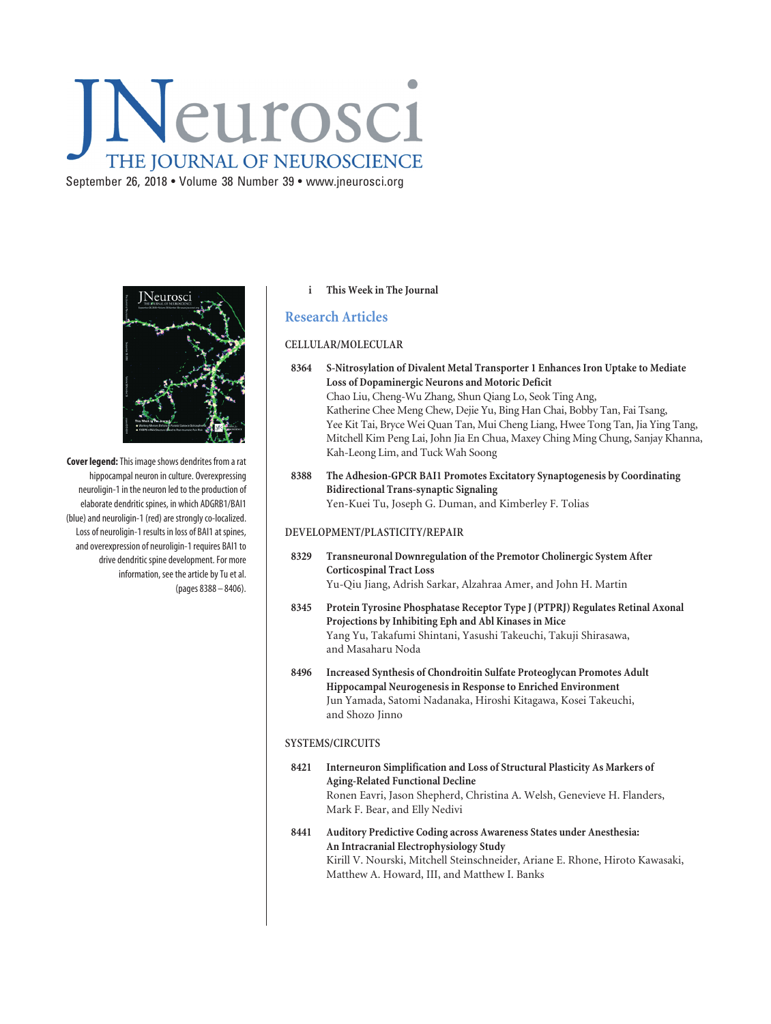# Neurosci THE JOURNAL OF NEUROSCIENCE

September 26, 2018 • Volume 38 Number 39 • www.jneurosci.org



**Cover legend:**This image shows dendrites from a rat hippocampal neuron in culture. Overexpressing neuroligin-1 in the neuron led to the production of elaborate dendritic spines, in which ADGRB1/BAI1 (blue) and neuroligin-1 (red) are strongly co-localized. Loss of neuroligin-1 results in loss of BAI1 at spines, and overexpression of neuroligin-1 requires BAI1 to drive dendritic spine development. For more information, see the article by Tu et al. (pages 8388 – 8406).

#### **i This Week in The Journal**

## **Research Articles**

#### **CELLULAR/MOLECULAR**

- **8364 S-Nitrosylation of Divalent Metal Transporter 1 Enhances Iron Uptake to Mediate Loss of Dopaminergic Neurons and Motoric Deficit** Chao Liu, Cheng-Wu Zhang, Shun Qiang Lo, Seok Ting Ang, Katherine Chee Meng Chew, Dejie Yu, Bing Han Chai, Bobby Tan, Fai Tsang, Yee Kit Tai, Bryce Wei Quan Tan, Mui Cheng Liang, Hwee Tong Tan, Jia Ying Tang, Mitchell Kim Peng Lai, John Jia En Chua, Maxey Ching Ming Chung, Sanjay Khanna, Kah-Leong Lim, and Tuck Wah Soong
- **8388 The Adhesion-GPCR BAI1 Promotes Excitatory Synaptogenesis by Coordinating Bidirectional Trans-synaptic Signaling** Yen-Kuei Tu, Joseph G. Duman, and Kimberley F. Tolias

#### **DEVELOPMENT/PLASTICITY/REPAIR**

- **8329 Transneuronal Downregulation of the Premotor Cholinergic System After Corticospinal Tract Loss** Yu-Qiu Jiang, Adrish Sarkar, Alzahraa Amer, and John H. Martin
- **8345 Protein Tyrosine Phosphatase Receptor Type J (PTPRJ) Regulates Retinal Axonal Projections by Inhibiting Eph and Abl Kinases in Mice** Yang Yu, Takafumi Shintani, Yasushi Takeuchi, Takuji Shirasawa, and Masaharu Noda
- **8496 Increased Synthesis of Chondroitin Sulfate Proteoglycan Promotes Adult Hippocampal Neurogenesis in Response to Enriched Environment** Jun Yamada, Satomi Nadanaka, Hiroshi Kitagawa, Kosei Takeuchi, and Shozo Jinno

#### **SYSTEMS/CIRCUITS**

- **8421 Interneuron Simplification and Loss of Structural Plasticity As Markers of Aging-Related Functional Decline** Ronen Eavri, Jason Shepherd, Christina A. Welsh, Genevieve H. Flanders, Mark F. Bear, and Elly Nedivi
- **8441 Auditory Predictive Coding across Awareness States under Anesthesia: An Intracranial Electrophysiology Study** Kirill V. Nourski, Mitchell Steinschneider, Ariane E. Rhone, Hiroto Kawasaki, Matthew A. Howard, III, and Matthew I. Banks